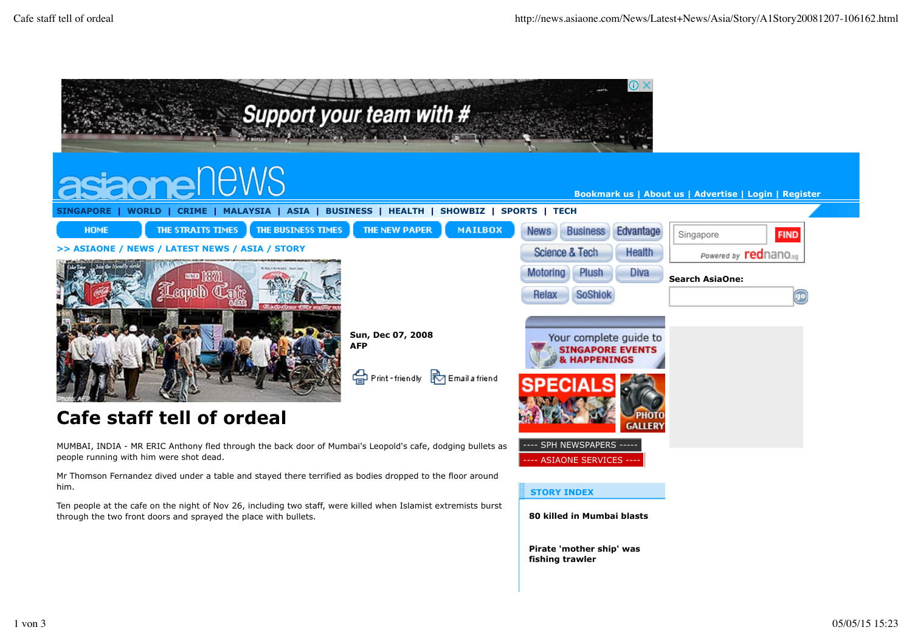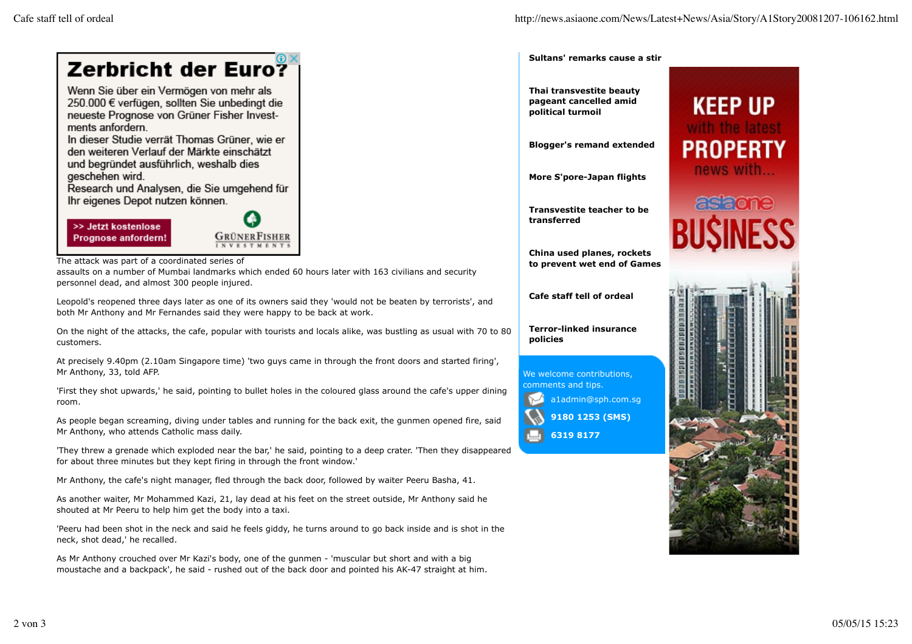

assaults on a number of Mumbai landmarks which ended 60 hours later with 163 civilians and security personnel dead, and almost 300 people injured.

Leopold's reopened three days later as one of its owners said they 'would not be beaten by terrorists', and both Mr Anthony and Mr Fernandes said they were happy to be back at work.

On the night of the attacks, the cafe, popular with tourists and locals alike, was bustling as usual with 70 to 80 customers.

At precisely 9.40pm (2.10am Singapore time) 'two guys came in through the front doors and started firing', Mr Anthony, 33, told AFP.

'First they shot upwards,' he said, pointing to bullet holes in the coloured glass around the cafe's upper dining room.

As people began screaming, diving under tables and running for the back exit, the gunmen opened fire, said Mr Anthony, who attends Catholic mass daily.

'They threw a grenade which exploded near the bar,' he said, pointing to a deep crater. 'Then they disappeared for about three minutes but they kept firing in through the front window.'

Mr Anthony, the cafe's night manager, fled through the back door, followed by waiter Peeru Basha, 41.

As another waiter, Mr Mohammed Kazi, 21, lay dead at his feet on the street outside, Mr Anthony said he shouted at Mr Peeru to help him get the body into a taxi.

'Peeru had been shot in the neck and said he feels giddy, he turns around to go back inside and is shot in the neck, shot dead,' he recalled.

As Mr Anthony crouched over Mr Kazi's body, one of the gunmen - 'muscular but short and with a big moustache and a backpack', he said - rushed out of the back door and pointed his AK-47 straight at him. **Sultans' remarks cause a stir**

**Thai transvestite beauty pageant cancelled amid political turmoil**

**Blogger's remand extended**

**More S'pore-Japan flights**

**Transvestite teacher to be transferred**

**China used planes, rockets to prevent wet end of Games**

**Cafe staff tell of ordeal**

**Terror-linked insurance policies**



**9180 1253 (SMS)**

**6319 8177**